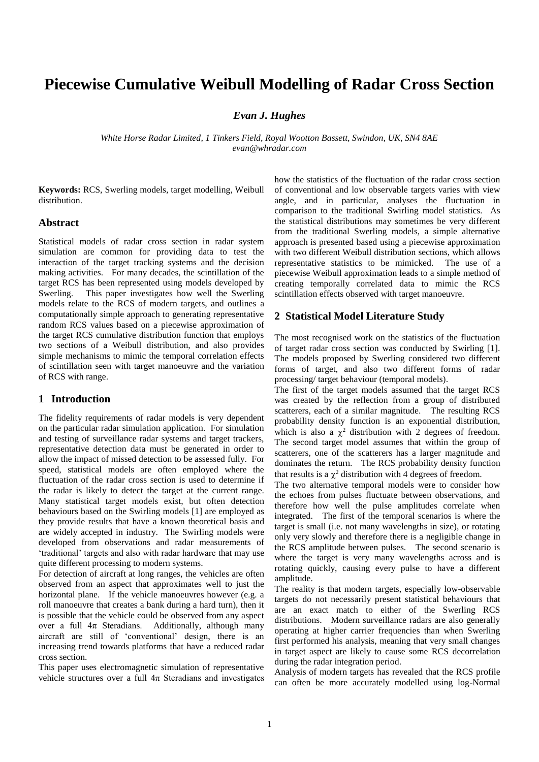# **Piecewise Cumulative Weibull Modelling of Radar Cross Section**

*Evan J. Hughes*

*White Horse Radar Limited, 1 Tinkers Field, Royal Wootton Bassett, Swindon, UK, SN4 8AE evan@whradar.com*

**Keywords:** RCS, Swerling models, target modelling, Weibull distribution.

### **Abstract**

Statistical models of radar cross section in radar system simulation are common for providing data to test the interaction of the target tracking systems and the decision making activities. For many decades, the scintillation of the target RCS has been represented using models developed by Swerling. This paper investigates how well the Swerling models relate to the RCS of modern targets, and outlines a computationally simple approach to generating representative random RCS values based on a piecewise approximation of the target RCS cumulative distribution function that employs two sections of a Weibull distribution, and also provides simple mechanisms to mimic the temporal correlation effects of scintillation seen with target manoeuvre and the variation of RCS with range.

## **1 Introduction**

The fidelity requirements of radar models is very dependent on the particular radar simulation application. For simulation and testing of surveillance radar systems and target trackers, representative detection data must be generated in order to allow the impact of missed detection to be assessed fully. For speed, statistical models are often employed where the fluctuation of the radar cross section is used to determine if the radar is likely to detect the target at the current range. Many statistical target models exist, but often detection behaviours based on the Swirling models [1] are employed as they provide results that have a known theoretical basis and are widely accepted in industry. The Swirling models were developed from observations and radar measurements of 'traditional' targets and also with radar hardware that may use quite different processing to modern systems.

For detection of aircraft at long ranges, the vehicles are often observed from an aspect that approximates well to just the horizontal plane. If the vehicle manoeuvres however (e.g. a roll manoeuvre that creates a bank during a hard turn), then it is possible that the vehicle could be observed from any aspect over a full  $4\pi$  Steradians. Additionally, although many aircraft are still of 'conventional' design, there is an increasing trend towards platforms that have a reduced radar cross section.

This paper uses electromagnetic simulation of representative vehicle structures over a full  $4\pi$  Steradians and investigates how the statistics of the fluctuation of the radar cross section of conventional and low observable targets varies with view angle, and in particular, analyses the fluctuation in comparison to the traditional Swirling model statistics. As the statistical distributions may sometimes be very different from the traditional Swerling models, a simple alternative approach is presented based using a piecewise approximation with two different Weibull distribution sections, which allows representative statistics to be mimicked. The use of a piecewise Weibull approximation leads to a simple method of creating temporally correlated data to mimic the RCS scintillation effects observed with target manoeuvre.

## **2 Statistical Model Literature Study**

The most recognised work on the statistics of the fluctuation of target radar cross section was conducted by Swirling [1]. The models proposed by Swerling considered two different forms of target, and also two different forms of radar processing/ target behaviour (temporal models).

The first of the target models assumed that the target RCS was created by the reflection from a group of distributed scatterers, each of a similar magnitude. The resulting RCS probability density function is an exponential distribution, which is also a  $\chi^2$  distribution with 2 degrees of freedom. The second target model assumes that within the group of scatterers, one of the scatterers has a larger magnitude and dominates the return. The RCS probability density function that results is a  $\chi^2$  distribution with 4 degrees of freedom.

The two alternative temporal models were to consider how the echoes from pulses fluctuate between observations, and therefore how well the pulse amplitudes correlate when integrated. The first of the temporal scenarios is where the target is small (i.e. not many wavelengths in size), or rotating only very slowly and therefore there is a negligible change in the RCS amplitude between pulses. The second scenario is where the target is very many wavelengths across and is rotating quickly, causing every pulse to have a different amplitude.

The reality is that modern targets, especially low-observable targets do not necessarily present statistical behaviours that are an exact match to either of the Swerling RCS distributions. Modern surveillance radars are also generally operating at higher carrier frequencies than when Swerling first performed his analysis, meaning that very small changes in target aspect are likely to cause some RCS decorrelation during the radar integration period.

Analysis of modern targets has revealed that the RCS profile can often be more accurately modelled using log-Normal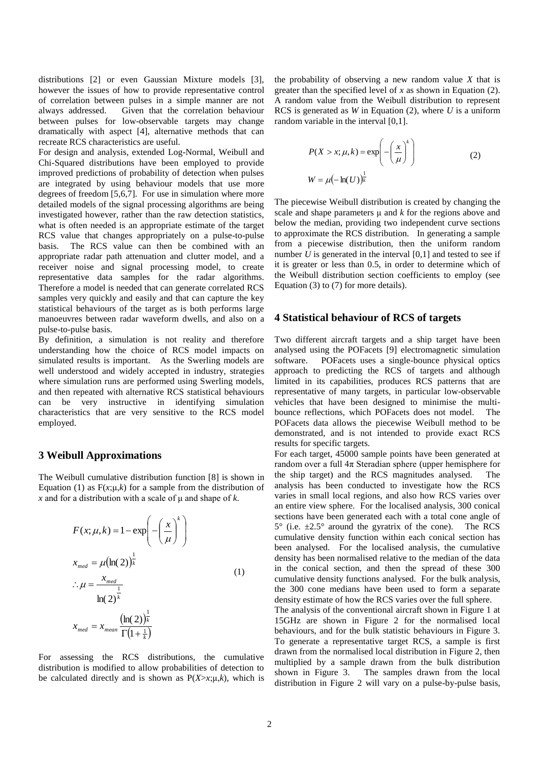distributions [2] or even Gaussian Mixture models [3], however the issues of how to provide representative control of correlation between pulses in a simple manner are not always addressed. Given that the correlation behaviour between pulses for low-observable targets may change dramatically with aspect [4], alternative methods that can recreate RCS characteristics are useful.

For design and analysis, extended Log-Normal, Weibull and Chi-Squared distributions have been employed to provide improved predictions of probability of detection when pulses are integrated by using behaviour models that use more degrees of freedom [5,6,7]. For use in simulation where more detailed models of the signal processing algorithms are being investigated however, rather than the raw detection statistics, what is often needed is an appropriate estimate of the target RCS value that changes appropriately on a pulse-to-pulse basis. The RCS value can then be combined with an appropriate radar path attenuation and clutter model, and a receiver noise and signal processing model, to create representative data samples for the radar algorithms. Therefore a model is needed that can generate correlated RCS samples very quickly and easily and that can capture the key statistical behaviours of the target as is both performs large manoeuvres between radar waveform dwells, and also on a pulse-to-pulse basis.

By definition, a simulation is not reality and therefore understanding how the choice of RCS model impacts on simulated results is important. As the Swerling models are well understood and widely accepted in industry, strategies where simulation runs are performed using Swerling models, and then repeated with alternative RCS statistical behaviours<br>can be very instructive in identifying simulation can be very instructive in identifying characteristics that are very sensitive to the RCS model employed.

## **3 Weibull Approximations**

The Weibull cumulative distribution function [8] is shown in Equation (1) as  $F(x;\mu,k)$  for a sample from the distribution of *x* and for a distribution with a scale of μ and shape of *k*.

$$
F(x; \mu, k) = 1 - \exp\left(-\left(\frac{x}{\mu}\right)^{k}\right)
$$
  

$$
x_{med} = \mu(\ln(2))^{\frac{1}{k}}
$$
  

$$
\therefore \mu = \frac{x_{med}}{\ln(2)^{\frac{1}{k}}}
$$
  

$$
x_{med} = x_{mean} \frac{(\ln(2))^{\frac{1}{k}}}{\Gamma(1 + \frac{1}{k})}
$$
 (1)

For assessing the RCS distributions, the cumulative distribution is modified to allow probabilities of detection to be calculated directly and is shown as  $P(X > x; \mu, k)$ , which is

the probability of observing a new random value *X* that is greater than the specified level of *x* as shown in Equation (2). A random value from the Weibull distribution to represent RCS is generated as *W* in Equation (2), where *U* is a uniform random variable in the interval [0,1].

$$
P(X > x; \mu, k) = \exp\left(-\left(\frac{x}{\mu}\right)^{k}\right)
$$
  
(2)  

$$
W = \mu\left(-\ln(U)\right)^{\frac{1}{k}}
$$

The piecewise Weibull distribution is created by changing the scale and shape parameters  $\mu$  and  $k$  for the regions above and below the median, providing two independent curve sections to approximate the RCS distribution. In generating a sample from a piecewise distribution, then the uniform random number  $U$  is generated in the interval  $[0,1]$  and tested to see if it is greater or less than 0.5, in order to determine which of the Weibull distribution section coefficients to employ (see Equation (3) to (7) for more details).

## **4 Statistical behaviour of RCS of targets**

Two different aircraft targets and a ship target have been analysed using the POFacets [9] electromagnetic simulation software. POFacets uses a single-bounce physical optics approach to predicting the RCS of targets and although limited in its capabilities, produces RCS patterns that are representative of many targets, in particular low-observable vehicles that have been designed to minimise the multibounce reflections, which POFacets does not model. The POFacets data allows the piecewise Weibull method to be demonstrated, and is not intended to provide exact RCS results for specific targets.

For each target, 45000 sample points have been generated at random over a full  $4\pi$  Steradian sphere (upper hemisphere for the ship target) and the RCS magnitudes analysed. The analysis has been conducted to investigate how the RCS varies in small local regions, and also how RCS varies over an entire view sphere. For the localised analysis, 300 conical sections have been generated each with a total cone angle of  $5^{\circ}$  (i.e.  $\pm 2.5^{\circ}$  around the gyratrix of the cone). The RCS cumulative density function within each conical section has been analysed. For the localised analysis, the cumulative density has been normalised relative to the median of the data in the conical section, and then the spread of these 300 cumulative density functions analysed. For the bulk analysis, the 300 cone medians have been used to form a separate density estimate of how the RCS varies over the full sphere. The analysis of the conventional aircraft shown in Figure 1 at

15GHz are shown in Figure 2 for the normalised local behaviours, and for the bulk statistic behaviours in Figure 3. To generate a representative target RCS, a sample is first drawn from the normalised local distribution in Figure 2, then multiplied by a sample drawn from the bulk distribution shown in Figure 3. The samples drawn from the local distribution in Figure 2 will vary on a pulse-by-pulse basis,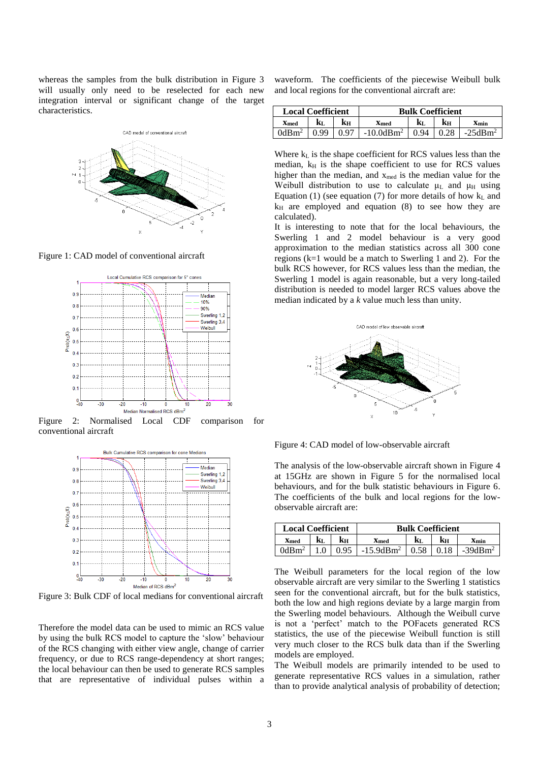whereas the samples from the bulk distribution in Figure 3 will usually only need to be reselected for each new integration interval or significant change of the target characteristics.



Figure 1: CAD model of conventional aircraft



Figure 2: Normalised Local CDF comparison for conventional aircraft



Figure 3: Bulk CDF of local medians for conventional aircraft

Therefore the model data can be used to mimic an RCS value by using the bulk RCS model to capture the 'slow' behaviour of the RCS changing with either view angle, change of carrier frequency, or due to RCS range-dependency at short ranges; the local behaviour can then be used to generate RCS samples that are representative of individual pulses within a

waveform. The coefficients of the piecewise Weibull bulk and local regions for the conventional aircraft are:

| <b>Local Coefficient</b> |     |      | <b>Bulk Coefficient</b> |                   |      |           |
|--------------------------|-----|------|-------------------------|-------------------|------|-----------|
| <b>X</b> med             | kī. | kн   | <b>X</b> med            | ${\bf k}_{\rm L}$ | kн   | Xmin      |
| $0d$ Bm <sup>2</sup>     |     | በ 97 | $-10.0$ d $Bm2$         | 94                | 0.28 | $-25dBm2$ |

Where  $k<sub>L</sub>$  is the shape coefficient for RCS values less than the median,  $k_H$  is the shape coefficient to use for RCS values higher than the median, and  $x_{med}$  is the median value for the Weibull distribution to use to calculate  $\mu$ <sub>L</sub> and  $\mu$ <sub>H</sub> using Equation (1) (see equation (7) for more details of how  $k<sub>L</sub>$  and  $k_H$  are employed and equation (8) to see how they are calculated).

It is interesting to note that for the local behaviours, the Swerling 1 and 2 model behaviour is a very good approximation to the median statistics across all 300 cone regions (k=1 would be a match to Swerling 1 and 2). For the bulk RCS however, for RCS values less than the median, the Swerling 1 model is again reasonable, but a very long-tailed distribution is needed to model larger RCS values above the median indicated by a *k* value much less than unity.



Figure 4: CAD model of low-observable aircraft

The analysis of the low-observable aircraft shown in Figure 4 at 15GHz are shown in Figure 5 for the normalised local behaviours, and for the bulk statistic behaviours in Figure 6. The coefficients of the bulk and local regions for the lowobservable aircraft are:

| <b>Local Coefficient</b> |     |      | <b>Bulk Coefficient</b> |      |      |           |  |
|--------------------------|-----|------|-------------------------|------|------|-----------|--|
| <b>X</b> med             | kī. | kн   | Xmed                    | kі.  | kн   | Xmin      |  |
| 0dBm <sup>2</sup>        | 1.0 | 0.95 | $-15.9$ d $Bm2$         | 0.58 | 0.18 | $-39dBm2$ |  |

The Weibull parameters for the local region of the low observable aircraft are very similar to the Swerling 1 statistics seen for the conventional aircraft, but for the bulk statistics, both the low and high regions deviate by a large margin from the Swerling model behaviours. Although the Weibull curve is not a 'perfect' match to the POFacets generated RCS statistics, the use of the piecewise Weibull function is still very much closer to the RCS bulk data than if the Swerling models are employed.

The Weibull models are primarily intended to be used to generate representative RCS values in a simulation, rather than to provide analytical analysis of probability of detection;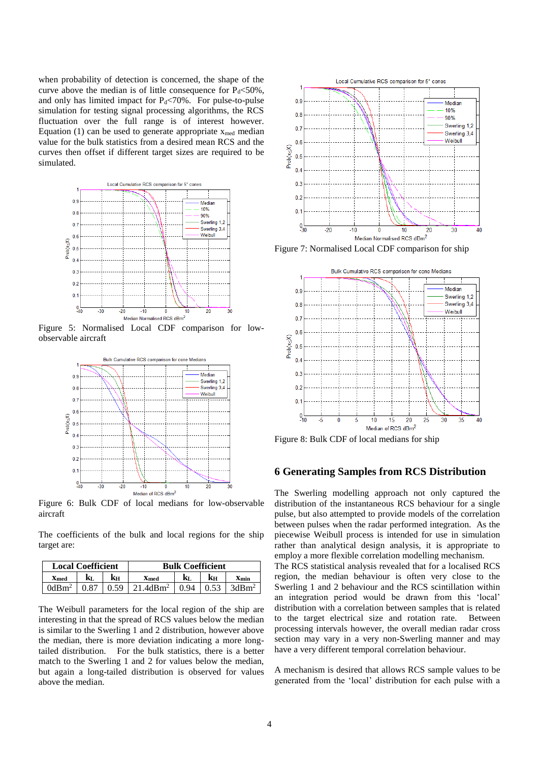when probability of detection is concerned, the shape of the curve above the median is of little consequence for  $P_d \le 50\%$ , and only has limited impact for  $P_d \le 70\%$ . For pulse-to-pulse simulation for testing signal processing algorithms, the RCS fluctuation over the full range is of interest however. Equation (1) can be used to generate appropriate  $x_{\text{med}}$  median value for the bulk statistics from a desired mean RCS and the curves then offset if different target sizes are required to be simulated.



Figure 5: Normalised Local CDF comparison for lowobservable aircraft



Figure 6: Bulk CDF of local medians for low-observable aircraft

The coefficients of the bulk and local regions for the ship target are:

| <b>Local Coefficient</b> |      |      | <b>Bulk Coefficient</b> |      |      |                   |
|--------------------------|------|------|-------------------------|------|------|-------------------|
| <b>X</b> med             | Kτ.  | kн   | Xmed                    | kτ.  | Kн   | Xmin              |
| $0dRm^2$                 | 0.87 | 0.59 | 21.4dBm <sup>2</sup>    | 0.94 | 0.53 | 3dBm <sup>2</sup> |

The Weibull parameters for the local region of the ship are interesting in that the spread of RCS values below the median is similar to the Swerling 1 and 2 distribution, however above the median, there is more deviation indicating a more longtailed distribution. For the bulk statistics, there is a better match to the Swerling 1 and 2 for values below the median, but again a long-tailed distribution is observed for values above the median.



Figure 7: Normalised Local CDF comparison for ship



Figure 8: Bulk CDF of local medians for ship

## **6 Generating Samples from RCS Distribution**

The Swerling modelling approach not only captured the distribution of the instantaneous RCS behaviour for a single pulse, but also attempted to provide models of the correlation between pulses when the radar performed integration. As the piecewise Weibull process is intended for use in simulation rather than analytical design analysis, it is appropriate to employ a more flexible correlation modelling mechanism.

The RCS statistical analysis revealed that for a localised RCS region, the median behaviour is often very close to the Swerling 1 and 2 behaviour and the RCS scintillation within an integration period would be drawn from this 'local' distribution with a correlation between samples that is related to the target electrical size and rotation rate. Between processing intervals however, the overall median radar cross section may vary in a very non-Swerling manner and may have a very different temporal correlation behaviour.

A mechanism is desired that allows RCS sample values to be generated from the 'local' distribution for each pulse with a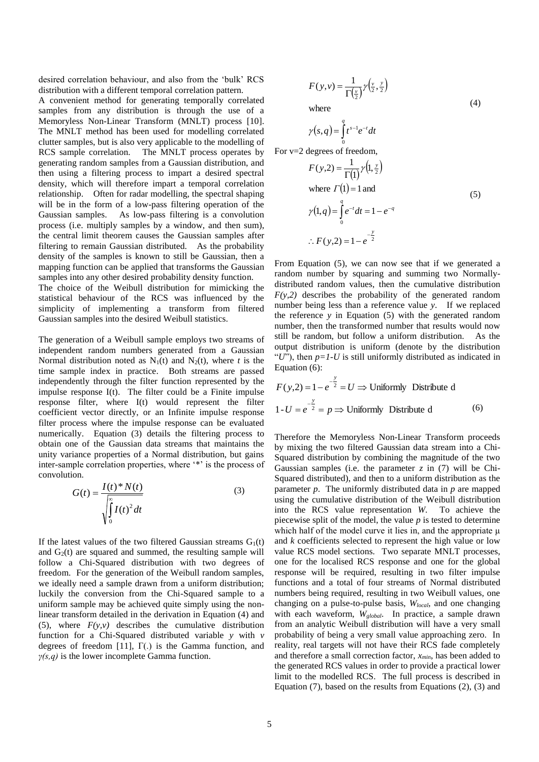desired correlation behaviour, and also from the 'bulk' RCS distribution with a different temporal correlation pattern.

A convenient method for generating temporally correlated samples from any distribution is through the use of a Memoryless Non-Linear Transform (MNLT) process [10]. The MNLT method has been used for modelling correlated clutter samples, but is also very applicable to the modelling of RCS sample correlation. The MNLT process operates by generating random samples from a Gaussian distribution, and then using a filtering process to impart a desired spectral density, which will therefore impart a temporal correlation relationship. Often for radar modelling, the spectral shaping will be in the form of a low-pass filtering operation of the Gaussian samples. As low-pass filtering is a convolution process (i.e. multiply samples by a window, and then sum), the central limit theorem causes the Gaussian samples after filtering to remain Gaussian distributed. As the probability density of the samples is known to still be Gaussian, then a mapping function can be applied that transforms the Gaussian samples into any other desired probability density function.

The choice of the Weibull distribution for mimicking the statistical behaviour of the RCS was influenced by the simplicity of implementing a transform from filtered Gaussian samples into the desired Weibull statistics.

The generation of a Weibull sample employs two streams of independent random numbers generated from a Gaussian Normal distribution noted as  $N_1(t)$  and  $N_2(t)$ , where *t* is the time sample index in practice. Both streams are passed independently through the filter function represented by the impulse response I(t). The filter could be a Finite impulse response filter, where I(t) would represent the filter coefficient vector directly, or an Infinite impulse response filter process where the impulse response can be evaluated numerically. Equation (3) details the filtering process to obtain one of the Gaussian data streams that maintains the unity variance properties of a Normal distribution, but gains inter-sample correlation properties, where '\*' is the process of convolution.

$$
G(t) = \frac{I(t)^* N(t)}{\sqrt{\int_0^\infty I(t)^2 dt}}
$$
 (3)

If the latest values of the two filtered Gaussian streams  $G_1(t)$ and  $G_2(t)$  are squared and summed, the resulting sample will follow a Chi-Squared distribution with two degrees of freedom. For the generation of the Weibull random samples, we ideally need a sample drawn from a uniform distribution; luckily the conversion from the Chi-Squared sample to a uniform sample may be achieved quite simply using the nonlinear transform detailed in the derivation in Equation (4) and (5), where  $F(y, y)$  describes the cumulative distribution function for a Chi-Squared distributed variable *y* with *v* degrees of freedom [11], Γ(.) is the Gamma function, and *γ(s,q)* is the lower incomplete Gamma function.

$$
F(y, v) = \frac{1}{\Gamma(\frac{v}{2})} \gamma(\frac{v}{2}, \frac{y}{2})
$$
  
where (4)

 $\gamma(s,q) = \int_0^q t^{s-1} e^{-t} dt$  $\boldsymbol{0}$ 

For v=2 degrees of freedom,

$$
F(y,2) = \frac{1}{\Gamma(1)} \gamma(1, \frac{y}{2})
$$
  
where  $\Gamma(1) = 1$  and  

$$
\gamma(1,q) = \int_{0}^{q} e^{-t} dt = 1 - e^{-q}
$$
  

$$
\therefore F(y,2) = 1 - e^{-\frac{y}{2}}
$$
 (5)

From Equation (5), we can now see that if we generated a random number by squaring and summing two Normallydistributed random values, then the cumulative distribution  $F(y,2)$  describes the probability of the generated random number being less than a reference value *y*. If we replaced the reference *y* in Equation (5) with the generated random number, then the transformed number that results would now still be random, but follow a uniform distribution. As the output distribution is uniform (denote by the distribution "*U*"), then  $p=1-U$  is still uniformly distributed as indicated in Equation (6):

$$
F(y,2) = 1 - e^{-\frac{y}{2}} = U \Rightarrow \text{Uniformly Distribute d}
$$
  
1 - U =  $e^{-\frac{y}{2}}$  =  $p \Rightarrow \text{Uniformly Distribute d}$  (6)

Therefore the Memoryless Non-Linear Transform proceeds by mixing the two filtered Gaussian data stream into a Chi-Squared distribution by combining the magnitude of the two Gaussian samples (i.e. the parameter  $z$  in (7) will be Chi-Squared distributed), and then to a uniform distribution as the parameter *p*. The uniformly distributed data in *p* are mapped using the cumulative distribution of the Weibull distribution into the RCS value representation *W*. To achieve the piecewise split of the model, the value *p* is tested to determine which half of the model curve it lies in, and the appropriate μ and *k* coefficients selected to represent the high value or low value RCS model sections. Two separate MNLT processes, one for the localised RCS response and one for the global response will be required, resulting in two filter impulse functions and a total of four streams of Normal distributed numbers being required, resulting in two Weibull values, one changing on a pulse-to-pulse basis, *Wlocal*, and one changing with each waveform, *Wglobal*. In practice, a sample drawn from an analytic Weibull distribution will have a very small probability of being a very small value approaching zero. In reality, real targets will not have their RCS fade completely and therefore a small correction factor, *xmin*, has been added to the generated RCS values in order to provide a practical lower limit to the modelled RCS. The full process is described in Equation (7), based on the results from Equations (2), (3) and